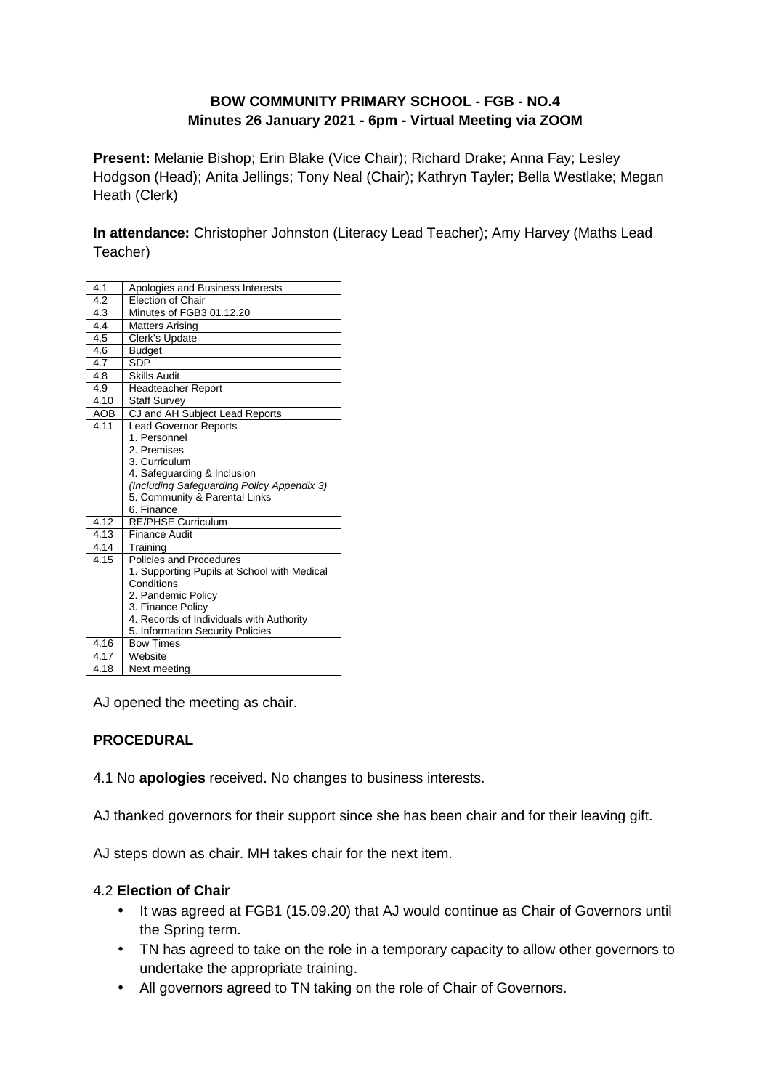# **BOW COMMUNITY PRIMARY SCHOOL - FGB - NO.4 Minutes 26 January 2021 - 6pm - Virtual Meeting via ZOOM**

**Present:** Melanie Bishop; Erin Blake (Vice Chair); Richard Drake; Anna Fay; Lesley Hodgson (Head); Anita Jellings; Tony Neal (Chair); Kathryn Tayler; Bella Westlake; Megan Heath (Clerk)

**In attendance:** Christopher Johnston (Literacy Lead Teacher); Amy Harvey (Maths Lead Teacher)

| 4.1        | Apologies and Business Interests                              |
|------------|---------------------------------------------------------------|
| 4.2        | Election of Chair                                             |
| 4.3        | Minutes of FGB3 01.12.20                                      |
| 4.4        | <b>Matters Arising</b>                                        |
| 4.5        | Clerk's Update                                                |
| 4.6        | <b>Budget</b>                                                 |
| 4.7        | <b>SDP</b>                                                    |
| 4.8        | <b>Skills Audit</b>                                           |
| 4.9        | <b>Headteacher Report</b>                                     |
| 4.10       | <b>Staff Survey</b>                                           |
| <b>AOB</b> | CJ and AH Subject Lead Reports                                |
| 4.11       | <b>Lead Governor Reports</b>                                  |
|            | 1. Personnel                                                  |
|            | 2. Premises                                                   |
|            | 3. Curriculum                                                 |
|            | 4. Safeguarding & Inclusion                                   |
|            | (Including Safeguarding Policy Appendix 3)                    |
|            | 5. Community & Parental Links                                 |
|            | 6. Finance                                                    |
| 4.12       | <b>RE/PHSE Curriculum</b>                                     |
| 4.13       | Finance Audit                                                 |
| 4.14       | Training                                                      |
| 4.15       | Policies and Procedures                                       |
|            | 1. Supporting Pupils at School with Medical                   |
|            | Conditions                                                    |
|            | 2. Pandemic Policy                                            |
|            | 3. Finance Policy<br>4. Records of Individuals with Authority |
|            | 5. Information Security Policies                              |
| 4.16       | <b>Bow Times</b>                                              |
| 4.17       | Website                                                       |
| 4.18       |                                                               |
|            | Next meeting                                                  |

AJ opened the meeting as chair.

### **PROCEDURAL**

4.1 No **apologies** received. No changes to business interests.

AJ thanked governors for their support since she has been chair and for their leaving gift.

AJ steps down as chair. MH takes chair for the next item.

### 4.2 **Election of Chair**

- It was agreed at FGB1 (15.09.20) that AJ would continue as Chair of Governors until the Spring term.
- TN has agreed to take on the role in a temporary capacity to allow other governors to undertake the appropriate training.
- All governors agreed to TN taking on the role of Chair of Governors.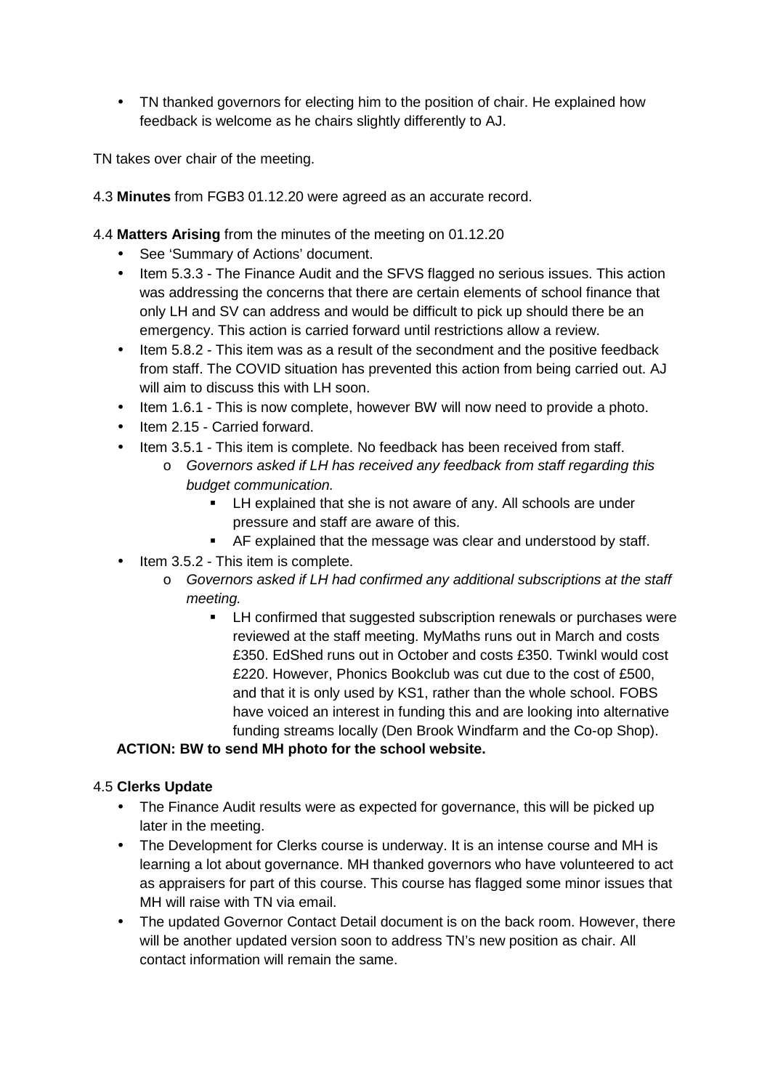• TN thanked governors for electing him to the position of chair. He explained how feedback is welcome as he chairs slightly differently to AJ.

TN takes over chair of the meeting.

- 4.3 **Minutes** from FGB3 01.12.20 were agreed as an accurate record.
- 4.4 **Matters Arising** from the minutes of the meeting on 01.12.20
	- See 'Summary of Actions' document.
	- Item 5.3.3 The Finance Audit and the SFVS flagged no serious issues. This action was addressing the concerns that there are certain elements of school finance that only LH and SV can address and would be difficult to pick up should there be an emergency. This action is carried forward until restrictions allow a review.
	- Item 5.8.2 This item was as a result of the secondment and the positive feedback from staff. The COVID situation has prevented this action from being carried out. AJ will aim to discuss this with LH soon.
	- Item 1.6.1 This is now complete, however BW will now need to provide a photo.
	- Item 2.15 Carried forward.
	- Item 3.5.1 This item is complete. No feedback has been received from staff.
		- o Governors asked if LH has received any feedback from staff regarding this budget communication.
			- **EXECT** LH explained that she is not aware of any. All schools are under pressure and staff are aware of this.
			- AF explained that the message was clear and understood by staff.
	- Item 3.5.2 This item is complete.
		- o Governors asked if LH had confirmed any additional subscriptions at the staff meeting.
			- LH confirmed that suggested subscription renewals or purchases were reviewed at the staff meeting. MyMaths runs out in March and costs £350. EdShed runs out in October and costs £350. Twinkl would cost £220. However, Phonics Bookclub was cut due to the cost of £500, and that it is only used by KS1, rather than the whole school. FOBS have voiced an interest in funding this and are looking into alternative funding streams locally (Den Brook Windfarm and the Co-op Shop).

### **ACTION: BW to send MH photo for the school website.**

### 4.5 **Clerks Update**

- The Finance Audit results were as expected for governance, this will be picked up later in the meeting.
- The Development for Clerks course is underway. It is an intense course and MH is learning a lot about governance. MH thanked governors who have volunteered to act as appraisers for part of this course. This course has flagged some minor issues that MH will raise with TN via email.
- The updated Governor Contact Detail document is on the back room. However, there will be another updated version soon to address TN's new position as chair. All contact information will remain the same.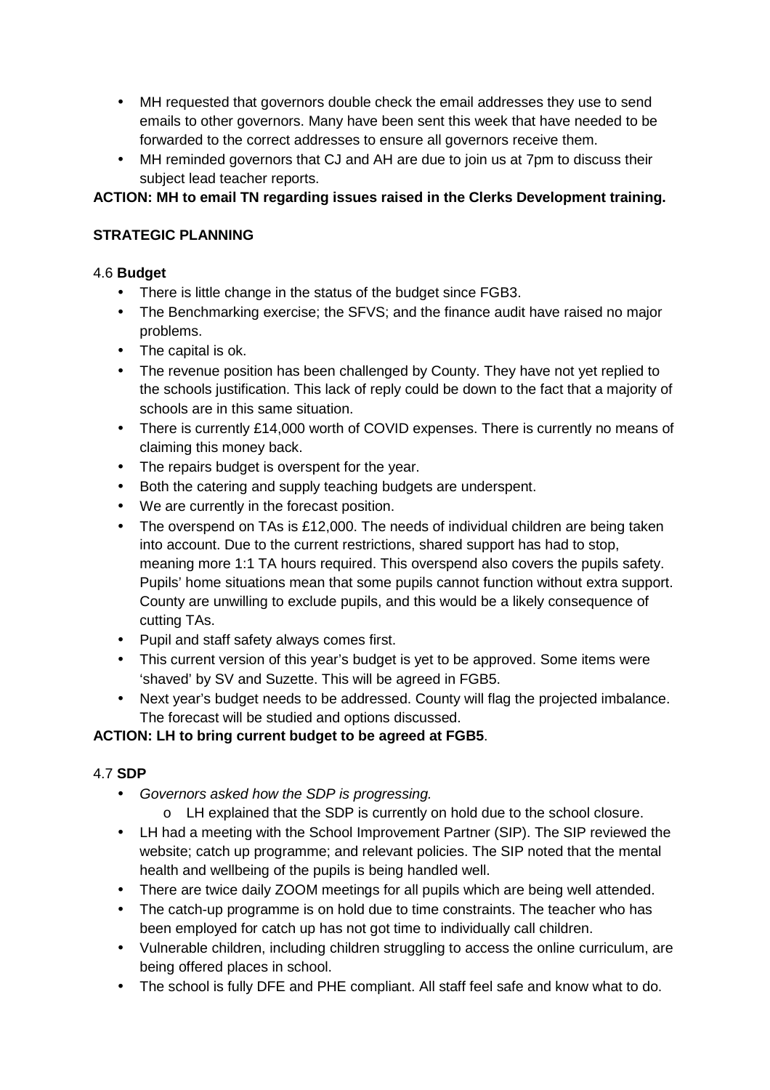- MH requested that governors double check the email addresses they use to send emails to other governors. Many have been sent this week that have needed to be forwarded to the correct addresses to ensure all governors receive them.
- MH reminded governors that CJ and AH are due to join us at 7pm to discuss their subject lead teacher reports.

# **ACTION: MH to email TN regarding issues raised in the Clerks Development training.**

# **STRATEGIC PLANNING**

# 4.6 **Budget**

- There is little change in the status of the budget since FGB3.
- The Benchmarking exercise; the SFVS; and the finance audit have raised no major problems.
- The capital is ok.
- The revenue position has been challenged by County. They have not yet replied to the schools justification. This lack of reply could be down to the fact that a majority of schools are in this same situation.
- There is currently £14,000 worth of COVID expenses. There is currently no means of claiming this money back.
- The repairs budget is overspent for the year.
- Both the catering and supply teaching budgets are underspent.
- We are currently in the forecast position.
- The overspend on TAs is £12,000. The needs of individual children are being taken into account. Due to the current restrictions, shared support has had to stop, meaning more 1:1 TA hours required. This overspend also covers the pupils safety. Pupils' home situations mean that some pupils cannot function without extra support. County are unwilling to exclude pupils, and this would be a likely consequence of cutting TAs.
- Pupil and staff safety always comes first.
- This current version of this year's budget is yet to be approved. Some items were 'shaved' by SV and Suzette. This will be agreed in FGB5.
- Next year's budget needs to be addressed. County will flag the projected imbalance. The forecast will be studied and options discussed.

# **ACTION: LH to bring current budget to be agreed at FGB5**.

# 4.7 **SDP**

- Governors asked how the SDP is progressing.
	- o LH explained that the SDP is currently on hold due to the school closure.
- LH had a meeting with the School Improvement Partner (SIP). The SIP reviewed the website; catch up programme; and relevant policies. The SIP noted that the mental health and wellbeing of the pupils is being handled well.
- There are twice daily ZOOM meetings for all pupils which are being well attended.
- The catch-up programme is on hold due to time constraints. The teacher who has been employed for catch up has not got time to individually call children.
- Vulnerable children, including children struggling to access the online curriculum, are being offered places in school.
- The school is fully DFE and PHE compliant. All staff feel safe and know what to do.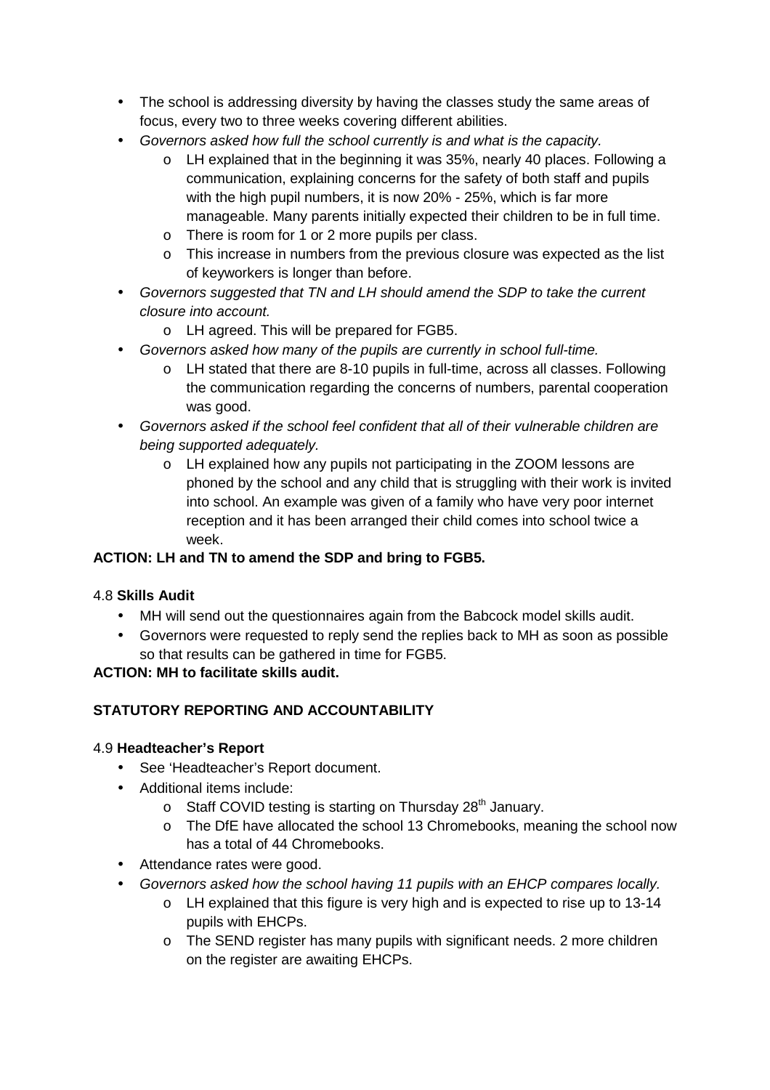- The school is addressing diversity by having the classes study the same areas of focus, every two to three weeks covering different abilities.
- Governors asked how full the school currently is and what is the capacity.
	- o LH explained that in the beginning it was 35%, nearly 40 places. Following a communication, explaining concerns for the safety of both staff and pupils with the high pupil numbers, it is now 20% - 25%, which is far more manageable. Many parents initially expected their children to be in full time.
	- o There is room for 1 or 2 more pupils per class.
	- o This increase in numbers from the previous closure was expected as the list of keyworkers is longer than before.
- Governors suggested that TN and LH should amend the SDP to take the current closure into account.
	- o LH agreed. This will be prepared for FGB5.
- Governors asked how many of the pupils are currently in school full-time.
	- o LH stated that there are 8-10 pupils in full-time, across all classes. Following the communication regarding the concerns of numbers, parental cooperation was good.
- Governors asked if the school feel confident that all of their vulnerable children are being supported adequately.
	- o LH explained how any pupils not participating in the ZOOM lessons are phoned by the school and any child that is struggling with their work is invited into school. An example was given of a family who have very poor internet reception and it has been arranged their child comes into school twice a week.

# **ACTION: LH and TN to amend the SDP and bring to FGB5.**

### 4.8 **Skills Audit**

- MH will send out the questionnaires again from the Babcock model skills audit.
- Governors were requested to reply send the replies back to MH as soon as possible so that results can be gathered in time for FGB5.

### **ACTION: MH to facilitate skills audit.**

# **STATUTORY REPORTING AND ACCOUNTABILITY**

### 4.9 **Headteacher's Report**

- See 'Headteacher's Report document.
- Additional items include:
	- o Staff COVID testing is starting on Thursday 28<sup>th</sup> January.
	- o The DfE have allocated the school 13 Chromebooks, meaning the school now has a total of 44 Chromebooks.
- Attendance rates were good.
- Governors asked how the school having 11 pupils with an EHCP compares locally.
	- o LH explained that this figure is very high and is expected to rise up to 13-14 pupils with EHCPs.
	- o The SEND register has many pupils with significant needs. 2 more children on the register are awaiting EHCPs.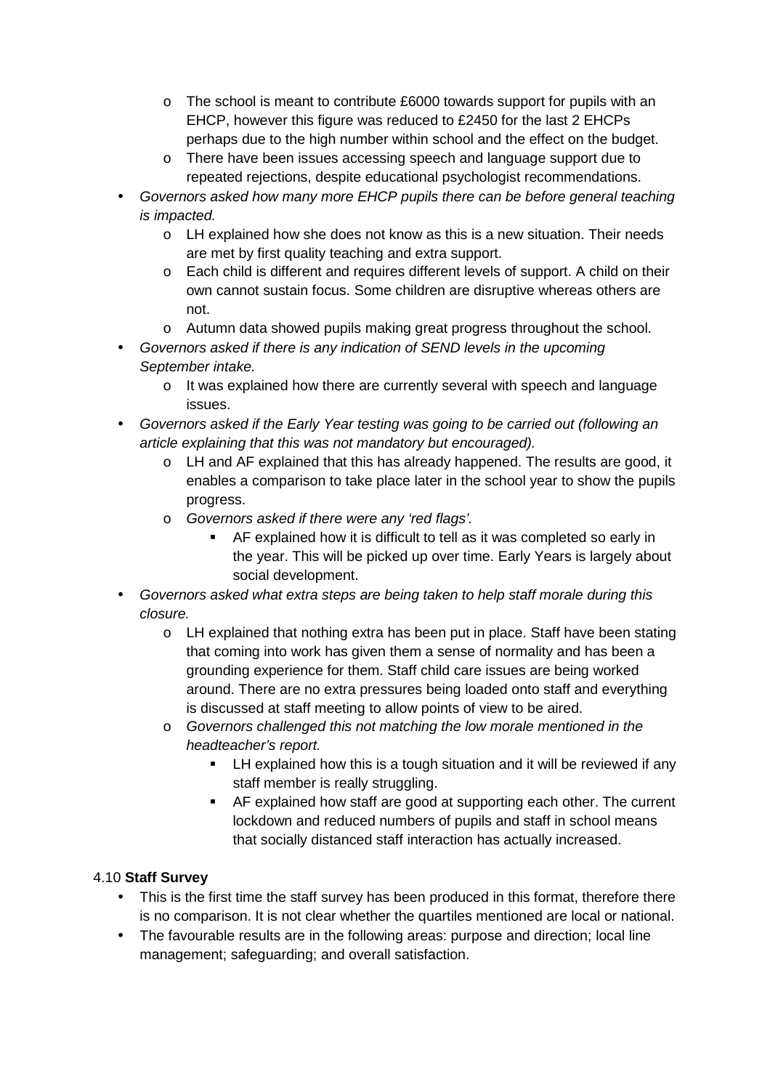- $\circ$  The school is meant to contribute £6000 towards support for pupils with an EHCP, however this figure was reduced to £2450 for the last 2 EHCPs perhaps due to the high number within school and the effect on the budget.
- o There have been issues accessing speech and language support due to repeated rejections, despite educational psychologist recommendations.
- Governors asked how many more EHCP pupils there can be before general teaching is impacted.
	- o LH explained how she does not know as this is a new situation. Their needs are met by first quality teaching and extra support.
	- o Each child is different and requires different levels of support. A child on their own cannot sustain focus. Some children are disruptive whereas others are not.
	- o Autumn data showed pupils making great progress throughout the school.
- Governors asked if there is any indication of SEND levels in the upcoming September intake.
	- o It was explained how there are currently several with speech and language issues.
- Governors asked if the Early Year testing was going to be carried out (following an article explaining that this was not mandatory but encouraged).
	- o LH and AF explained that this has already happened. The results are good, it enables a comparison to take place later in the school year to show the pupils progress.
	- o Governors asked if there were any 'red flags'.
		- AF explained how it is difficult to tell as it was completed so early in the year. This will be picked up over time. Early Years is largely about social development.
- Governors asked what extra steps are being taken to help staff morale during this closure.
	- o LH explained that nothing extra has been put in place. Staff have been stating that coming into work has given them a sense of normality and has been a grounding experience for them. Staff child care issues are being worked around. There are no extra pressures being loaded onto staff and everything is discussed at staff meeting to allow points of view to be aired.
	- o Governors challenged this not matching the low morale mentioned in the headteacher's report.
		- **EXECT** LH explained how this is a tough situation and it will be reviewed if any staff member is really struggling.
		- AF explained how staff are good at supporting each other. The current lockdown and reduced numbers of pupils and staff in school means that socially distanced staff interaction has actually increased.

# 4.10 **Staff Survey**

- This is the first time the staff survey has been produced in this format, therefore there is no comparison. It is not clear whether the quartiles mentioned are local or national.
- The favourable results are in the following areas: purpose and direction; local line management; safeguarding; and overall satisfaction.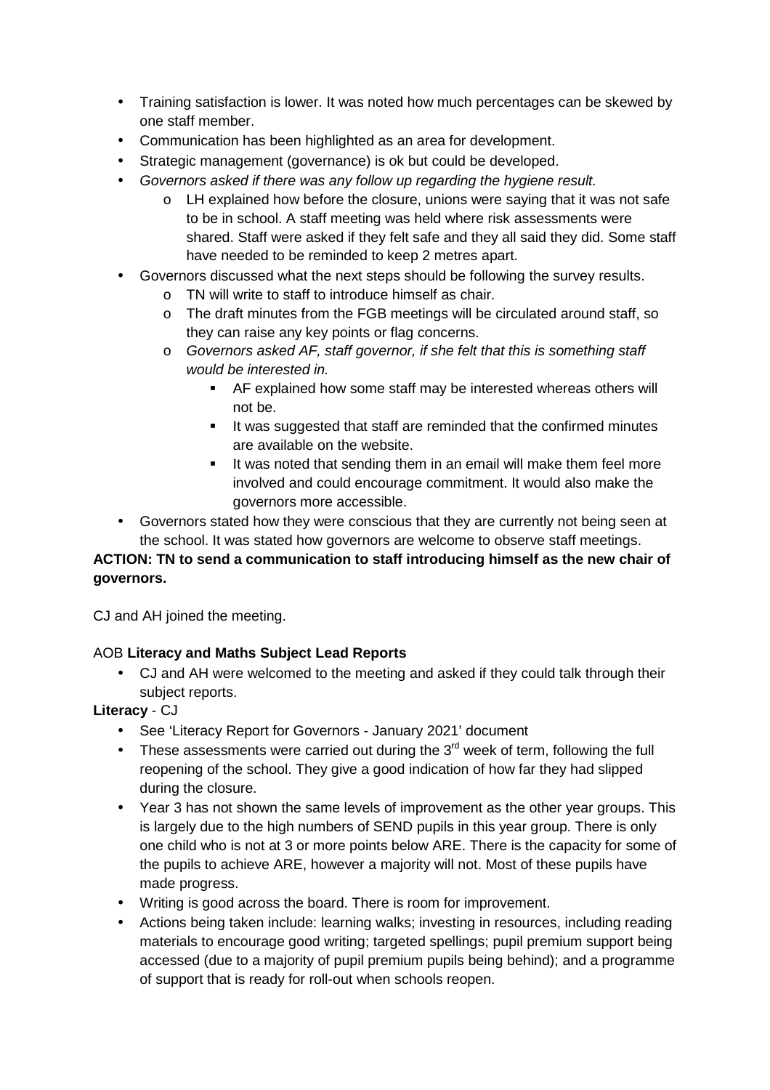- Training satisfaction is lower. It was noted how much percentages can be skewed by one staff member.
- Communication has been highlighted as an area for development.
- Strategic management (governance) is ok but could be developed.
- Governors asked if there was any follow up regarding the hygiene result.
	- $\circ$  LH explained how before the closure, unions were saying that it was not safe to be in school. A staff meeting was held where risk assessments were shared. Staff were asked if they felt safe and they all said they did. Some staff have needed to be reminded to keep 2 metres apart.
- Governors discussed what the next steps should be following the survey results.
	- o TN will write to staff to introduce himself as chair.
	- o The draft minutes from the FGB meetings will be circulated around staff, so they can raise any key points or flag concerns.
	- o Governors asked AF, staff governor, if she felt that this is something staff would be interested in.
		- AF explained how some staff may be interested whereas others will not be.
		- If was suggested that staff are reminded that the confirmed minutes are available on the website.
		- If was noted that sending them in an email will make them feel more involved and could encourage commitment. It would also make the governors more accessible.
- Governors stated how they were conscious that they are currently not being seen at the school. It was stated how governors are welcome to observe staff meetings.

# **ACTION: TN to send a communication to staff introducing himself as the new chair of governors.**

CJ and AH joined the meeting.

# AOB **Literacy and Maths Subject Lead Reports**

• CJ and AH were welcomed to the meeting and asked if they could talk through their subject reports.

# **Literacy** - CJ

- See 'Literacy Report for Governors January 2021' document
- These assessments were carried out during the  $3<sup>rd</sup>$  week of term, following the full reopening of the school. They give a good indication of how far they had slipped during the closure.
- Year 3 has not shown the same levels of improvement as the other year groups. This is largely due to the high numbers of SEND pupils in this year group. There is only one child who is not at 3 or more points below ARE. There is the capacity for some of the pupils to achieve ARE, however a majority will not. Most of these pupils have made progress.
- Writing is good across the board. There is room for improvement.
- Actions being taken include: learning walks; investing in resources, including reading materials to encourage good writing; targeted spellings; pupil premium support being accessed (due to a majority of pupil premium pupils being behind); and a programme of support that is ready for roll-out when schools reopen.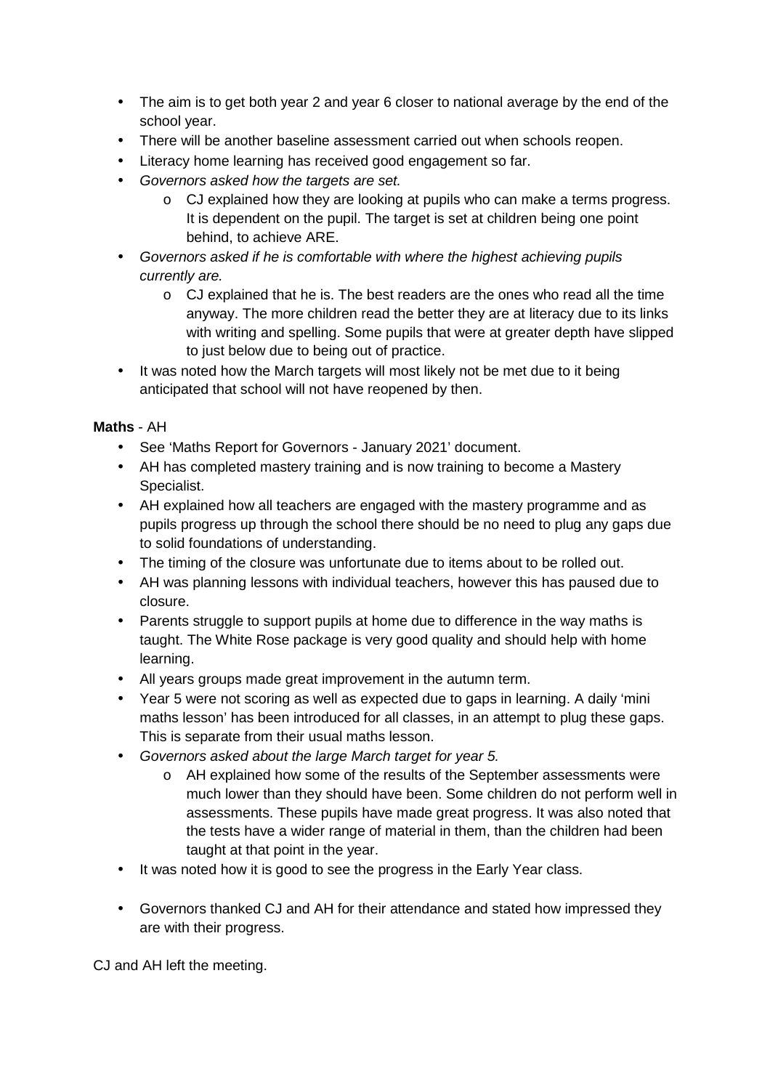- The aim is to get both year 2 and year 6 closer to national average by the end of the school year.
- There will be another baseline assessment carried out when schools reopen.
- Literacy home learning has received good engagement so far.
- Governors asked how the targets are set.
	- $\circ$  CJ explained how they are looking at pupils who can make a terms progress. It is dependent on the pupil. The target is set at children being one point behind, to achieve ARE.
- Governors asked if he is comfortable with where the highest achieving pupils currently are.
	- o CJ explained that he is. The best readers are the ones who read all the time anyway. The more children read the better they are at literacy due to its links with writing and spelling. Some pupils that were at greater depth have slipped to just below due to being out of practice.
- It was noted how the March targets will most likely not be met due to it being anticipated that school will not have reopened by then.

#### **Maths** - AH

- See 'Maths Report for Governors January 2021' document.
- AH has completed mastery training and is now training to become a Mastery Specialist.
- AH explained how all teachers are engaged with the mastery programme and as pupils progress up through the school there should be no need to plug any gaps due to solid foundations of understanding.
- The timing of the closure was unfortunate due to items about to be rolled out.
- AH was planning lessons with individual teachers, however this has paused due to closure.
- Parents struggle to support pupils at home due to difference in the way maths is taught. The White Rose package is very good quality and should help with home learning.
- All years groups made great improvement in the autumn term.
- Year 5 were not scoring as well as expected due to gaps in learning. A daily 'mini maths lesson' has been introduced for all classes, in an attempt to plug these gaps. This is separate from their usual maths lesson.
- Governors asked about the large March target for year 5.
	- o AH explained how some of the results of the September assessments were much lower than they should have been. Some children do not perform well in assessments. These pupils have made great progress. It was also noted that the tests have a wider range of material in them, than the children had been taught at that point in the year.
- It was noted how it is good to see the progress in the Early Year class.
- Governors thanked CJ and AH for their attendance and stated how impressed they are with their progress.

CJ and AH left the meeting.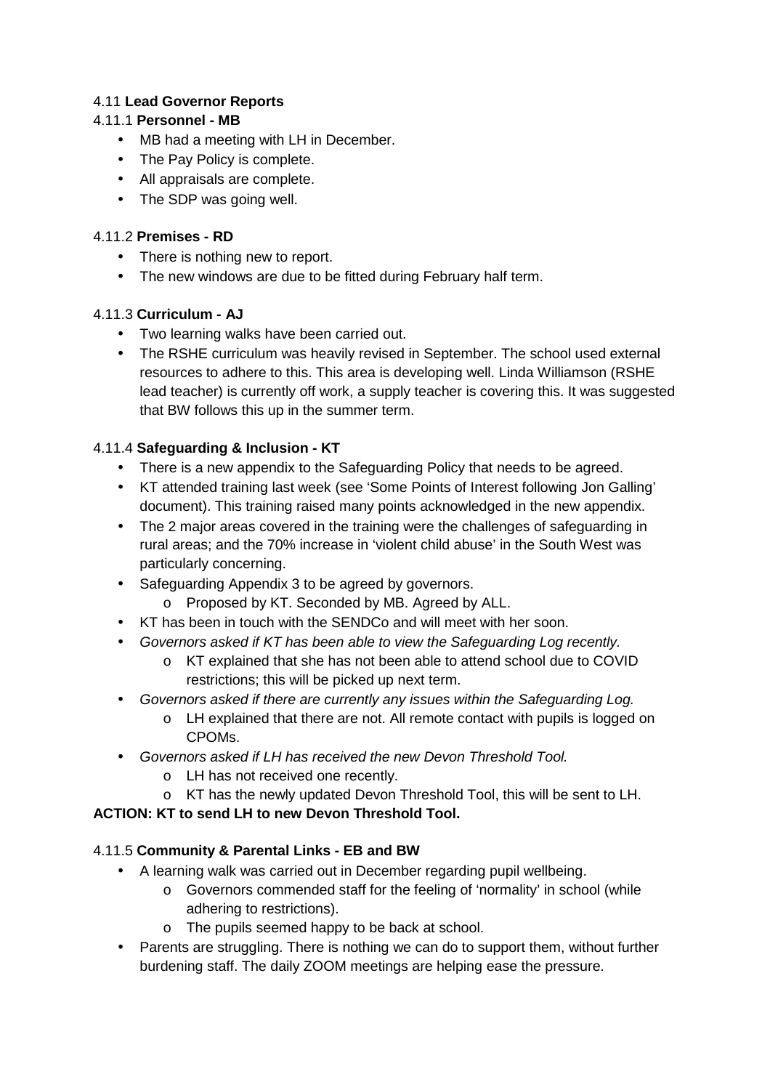# 4.11 **Lead Governor Reports**

### 4.11.1 **Personnel - MB**

- MB had a meeting with LH in December.
- The Pay Policy is complete.
- All appraisals are complete.
- The SDP was going well.

### 4.11.2 **Premises - RD**

- There is nothing new to report.
- The new windows are due to be fitted during February half term.

# 4.11.3 **Curriculum - AJ**

- Two learning walks have been carried out.
- The RSHE curriculum was heavily revised in September. The school used external resources to adhere to this. This area is developing well. Linda Williamson (RSHE lead teacher) is currently off work, a supply teacher is covering this. It was suggested that BW follows this up in the summer term.

# 4.11.4 **Safeguarding & Inclusion - KT**

- There is a new appendix to the Safeguarding Policy that needs to be agreed.
- KT attended training last week (see 'Some Points of Interest following Jon Galling' document). This training raised many points acknowledged in the new appendix.
- The 2 major areas covered in the training were the challenges of safeguarding in rural areas; and the 70% increase in 'violent child abuse' in the South West was particularly concerning.
- Safeguarding Appendix 3 to be agreed by governors.
	- o Proposed by KT. Seconded by MB. Agreed by ALL.
- KT has been in touch with the SENDCo and will meet with her soon.
- Governors asked if KT has been able to view the Safeguarding Log recently.
	- o KT explained that she has not been able to attend school due to COVID restrictions; this will be picked up next term.
- Governors asked if there are currently any issues within the Safeguarding Log.
	- o LH explained that there are not. All remote contact with pupils is logged on CPOMs.
- Governors asked if LH has received the new Devon Threshold Tool.
	- o LH has not received one recently.
	- o KT has the newly updated Devon Threshold Tool, this will be sent to LH.

**ACTION: KT to send LH to new Devon Threshold Tool.** 

# 4.11.5 **Community & Parental Links - EB and BW**

- A learning walk was carried out in December regarding pupil wellbeing.
	- o Governors commended staff for the feeling of 'normality' in school (while adhering to restrictions).
	- o The pupils seemed happy to be back at school.
- Parents are struggling. There is nothing we can do to support them, without further burdening staff. The daily ZOOM meetings are helping ease the pressure.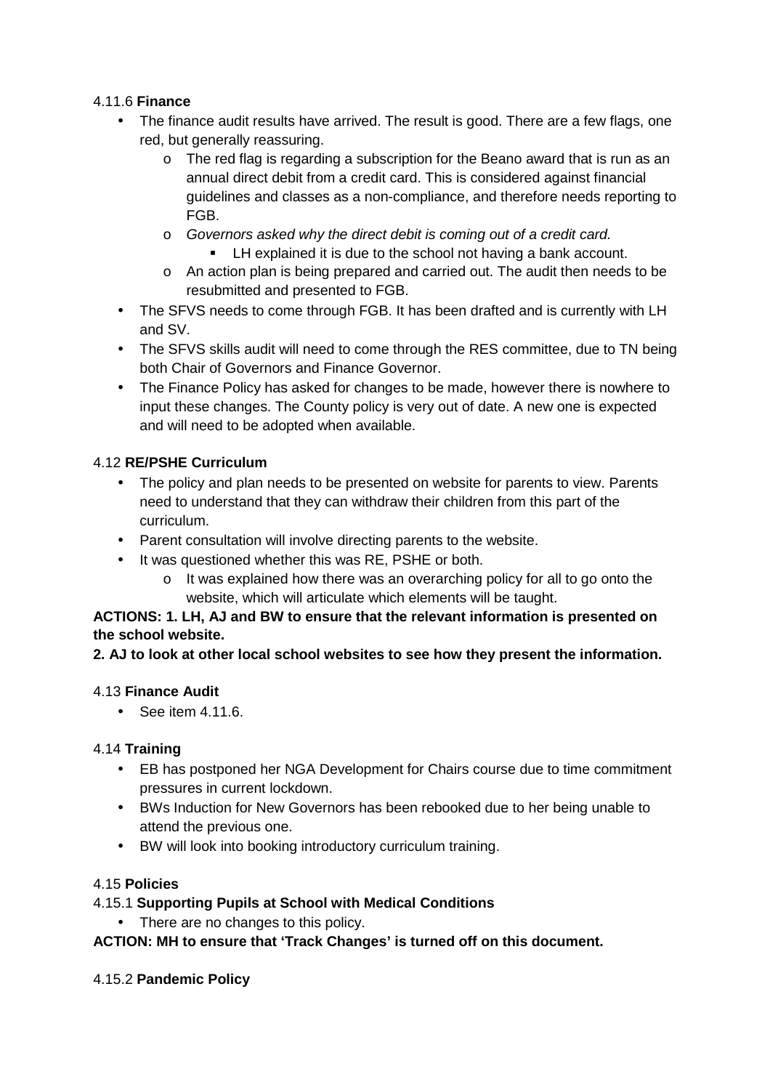# 4.11.6 **Finance**

- The finance audit results have arrived. The result is good. There are a few flags, one red, but generally reassuring.
	- $\circ$  The red flag is regarding a subscription for the Beano award that is run as an annual direct debit from a credit card. This is considered against financial guidelines and classes as a non-compliance, and therefore needs reporting to FGB.
	- o Governors asked why the direct debit is coming out of a credit card.
		- **EXECT** LH explained it is due to the school not having a bank account.
	- o An action plan is being prepared and carried out. The audit then needs to be resubmitted and presented to FGB.
- The SFVS needs to come through FGB. It has been drafted and is currently with LH and SV.
- The SFVS skills audit will need to come through the RES committee, due to TN being both Chair of Governors and Finance Governor.
- The Finance Policy has asked for changes to be made, however there is nowhere to input these changes. The County policy is very out of date. A new one is expected and will need to be adopted when available.

# 4.12 **RE/PSHE Curriculum**

- The policy and plan needs to be presented on website for parents to view. Parents need to understand that they can withdraw their children from this part of the curriculum.
- Parent consultation will involve directing parents to the website.
- It was questioned whether this was RE, PSHE or both.
	- o It was explained how there was an overarching policy for all to go onto the website, which will articulate which elements will be taught.

### **ACTIONS: 1. LH, AJ and BW to ensure that the relevant information is presented on the school website.**

### **2. AJ to look at other local school websites to see how they present the information.**

### 4.13 **Finance Audit**

• See item 4.11.6.

### 4.14 **Training**

- EB has postponed her NGA Development for Chairs course due to time commitment pressures in current lockdown.
- BWs Induction for New Governors has been rebooked due to her being unable to attend the previous one.
- BW will look into booking introductory curriculum training.

### 4.15 **Policies**

### 4.15.1 **Supporting Pupils at School with Medical Conditions**

• There are no changes to this policy.

# **ACTION: MH to ensure that 'Track Changes' is turned off on this document.**

### 4.15.2 **Pandemic Policy**